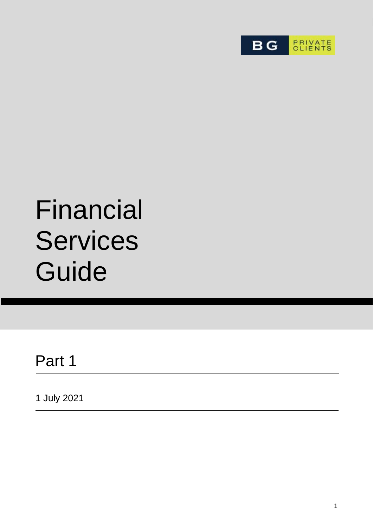

# Financial Services Guide

Part 1

1 July 2021

1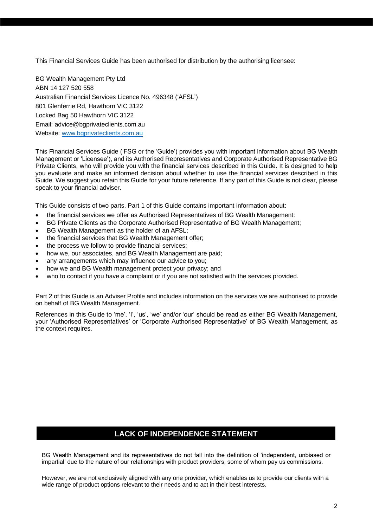This Financial Services Guide has been authorised for distribution by the authorising licensee:

BG Wealth Management Pty Ltd ABN 14 127 520 558 Australian Financial Services Licence No. 496348 ('AFSL') 801 Glenferrie Rd, Hawthorn VIC 3122 Locked Bag 50 Hawthorn VIC 3122 Email: advice@bgprivateclients.com.au Website: [www.bgprivateclients.com.au](http://www.bgprivateclients.com.au/)

This Financial Services Guide ('FSG or the 'Guide') provides you with important information about BG Wealth Management or 'Licensee'), and its Authorised Representatives and Corporate Authorised Representative BG Private Clients, who will provide you with the financial services described in this Guide. It is designed to help you evaluate and make an informed decision about whether to use the financial services described in this Guide. We suggest you retain this Guide for your future reference. If any part of this Guide is not clear, please speak to your financial adviser.

This Guide consists of two parts. Part 1 of this Guide contains important information about:

- the financial services we offer as Authorised Representatives of BG Wealth Management:
- BG Private Clients as the Corporate Authorised Representative of BG Wealth Management;
- BG Wealth Management as the holder of an AFSL;
- the financial services that BG Wealth Management offer;
- the process we follow to provide financial services:
- how we, our associates, and BG Wealth Management are paid;
- any arrangements which may influence our advice to you;
- how we and BG Wealth management protect your privacy; and
- who to contact if you have a complaint or if you are not satisfied with the services provided.

Part 2 of this Guide is an Adviser Profile and includes information on the services we are authorised to provide on behalf of BG Wealth Management.

References in this Guide to 'me', 'I', 'us', 'we' and/or 'our' should be read as either BG Wealth Management, your 'Authorised Representatives' or 'Corporate Authorised Representative' of BG Wealth Management, as the context requires.

## **LACK OF INDEPENDENCE STATEMENT**

BG Wealth Management and its representatives do not fall into the definition of 'independent, unbiased or impartial' due to the nature of our relationships with product providers, some of whom pay us commissions.

However, we are not exclusively aligned with any one provider, which enables us to provide our clients with a wide range of product options relevant to their needs and to act in their best interests.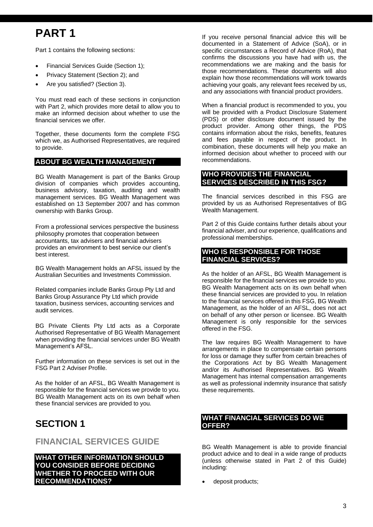# **PART 1**

Part 1 contains the following sections:

- Financial Services Guide (Section 1);
- Privacy Statement (Section 2); and
- Are you satisfied? (Section 3).

You must read each of these sections in conjunction with Part 2, which provides more detail to allow you to make an informed decision about whether to use the financial services we offer.

Together, these documents form the complete FSG which we, as Authorised Representatives, are required to provide.

## **ABOUT BG WEALTH MANAGEMENT**

BG Wealth Management is part of the Banks Group division of companies which provides accounting, business advisory, taxation, auditing and wealth management services. BG Wealth Management was established on 13 September 2007 and has common ownership with Banks Group.

From a professional services perspective the business philosophy promotes that cooperation between accountants, tax advisers and financial advisers provides an environment to best service our client's best interest.

BG Wealth Management holds an AFSL issued by the Australian Securities and Investments Commission.

Related companies include Banks Group Pty Ltd and Banks Group Assurance Pty Ltd which provide taxation, business services, accounting services and audit services.

BG Private Clients Pty Ltd acts as a Corporate Authorised Representative of BG Wealth Management when providing the financial services under BG Wealth Management's AFSL.

Further information on these services is set out in the FSG Part 2 Adviser Profile.

As the holder of an AFSL, BG Wealth Management is responsible for the financial services we provide to you. BG Wealth Management acts on its own behalf when these financial services are provided to you.

## **SECTION 1**

## **FINANCIAL SERVICES GUIDE**

**WHAT OTHER INFORMATION SHOULD YOU CONSIDER BEFORE DECIDING WHETHER TO PROCEED WITH OUR RECOMMENDATIONS?**

If you receive personal financial advice this will be documented in a Statement of Advice (SoA), or in specific circumstances a Record of Advice (RoA), that confirms the discussions you have had with us, the recommendations we are making and the basis for those recommendations. These documents will also explain how those recommendations will work towards achieving your goals, any relevant fees received by us, and any associations with financial product providers.

When a financial product is recommended to you, you will be provided with a Product Disclosure Statement (PDS) or other disclosure document issued by the product provider. Among other things, the PDS contains information about the risks, benefits, features and fees payable in respect of the product. In combination, these documents will help you make an informed decision about whether to proceed with our recommendations.

## **WHO PROVIDES THE FINANCIAL SERVICES DESCRIBED IN THIS FSG?**

The financial services described in this FSG are provided by us as Authorised Representatives of BG Wealth Management.

Part 2 of this Guide contains further details about your financial adviser, and our experience, qualifications and professional memberships.

## **WHO IS RESPONSIBLE FOR THOSE FINANCIAL SERVICES?**

As the holder of an AFSL, BG Wealth Management is responsible for the financial services we provide to you. BG Wealth Management acts on its own behalf when these financial services are provided to you. In relation to the financial services offered in this FSG, BG Wealth Management, as the holder of an AFSL, does not act on behalf of any other person or licensee. BG Wealth Management is only responsible for the services offered in the FSG.

The law requires BG Wealth Management to have arrangements in place to compensate certain persons for loss or damage they suffer from certain breaches of the Corporations Act by BG Wealth Management and/or its Authorised Representatives. BG Wealth Management has internal compensation arrangements as well as professional indemnity insurance that satisfy these requirements.

## **WHAT FINANCIAL SERVICES DO WE OFFER?**

BG Wealth Management is able to provide financial product advice and to deal in a wide range of products (unless otherwise stated in Part 2 of this Guide) including:

deposit products;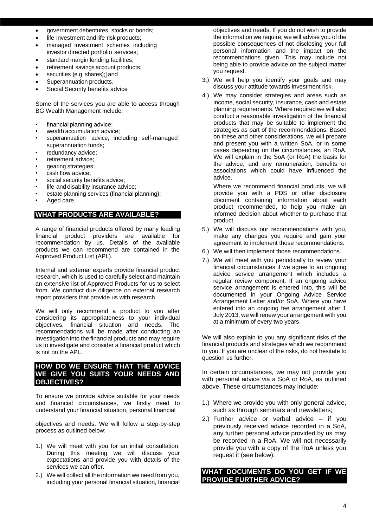- government debentures, stocks or bonds;
- life investment and life risk products;
- managed investment schemes including investor directed portfolio services;
- standard margin lending facilities;
- retirement savings account products;
- securities (e.g. shares);] and
- Superannuation products.
- Social Security benefits advice

Some of the services you are able to access through BG Wealth Management include:

- financial planning advice;
- wealth accumulation advice;
- superannuation advice, including self-managed superannuation funds;
- redundancy advice;
- retirement advice;
- gearing strategies;
- cash flow advice;
- social security benefits advice;
- life and disability insurance advice;
- estate planning services (financial planning);
- Aged care.

## **WHAT PRODUCTS ARE AVAILABLE?**

A range of financial products offered by many leading financial product providers are available for recommendation by us. Details of the available products we can recommend are contained in the Approved Product List (APL).

Internal and external experts provide financial product research, which is used to carefully select and maintain an extensive list of Approved Products for us to select from. We conduct due diligence on external research report providers that provide us with research.

We will only recommend a product to you after considering its appropriateness to your individual objectives, financial situation and needs. The recommendations will be made after conducting an investigation into the financial products and may require us to investigate and consider a financial product which is not on the APL.

## **HOW DO WE ENSURE THAT THE ADVICE WE GIVE YOU SUITS YOUR NEEDS AND OBJECTIVES?**

To ensure we provide advice suitable for your needs and financial circumstances, we firstly need to understand your financial situation, personal financial

objectives and needs. We will follow a step-by-step process as outlined below:

- 1.) We will meet with you for an initial consultation. During this meeting we will discuss your expectations and provide you with details of the services we can offer.
- 2.) We will collect all the information we need from you, including your personal financial situation, financial

objectives and needs. If you do not wish to provide the information we require, we will advise you of the possible consequences of not disclosing your full personal information and the impact on the recommendations given. This may include not being able to provide advice on the subject matter you request.

- 3.) We will help you identify your goals and may discuss your attitude towards investment risk.
- 4.) We may consider strategies and areas such as income, social security, insurance, cash and estate planning requirements. Where required we will also conduct a reasonable investigation of the financial products that may be suitable to implement the strategies as part of the recommendations. Based on these and other considerations, we will prepare and present you with a written SoA, or in some cases depending on the circumstances, an RoA. We will explain in the SoA (or RoA) the basis for the advice, and any remuneration, benefits or associations which could have influenced the advice.

Where we recommend financial products, we will provide you with a PDS or other disclosure document containing information about each product recommended, to help you make an informed decision about whether to purchase that product.

- 5.) We will discuss our recommendations with you, make any changes you require and gain your agreement to implement those recommendations.
- 6.) We will then implement those recommendations.
- 7.) We will meet with you periodically to review your financial circumstances if we agree to an ongoing advice service arrangement which includes a regular review component. If an ongoing advice service arrangement is entered into, this will be documented in your Ongoing Advice Service Arrangement Letter and/or SoA. Where you have entered into an ongoing fee arrangement after 1 July 2013, we will renew your arrangement with you at a minimum of every two years.

We will also explain to you any significant risks of the financial products and strategies which we recommend to you. If you are unclear of the risks, do not hesitate to question us further.

In certain circumstances, we may not provide you with personal advice via a SoA or RoA, as outlined above. These circumstances may include:

- 1.) Where we provide you with only general advice, such as through seminars and newsletters;
- 2.) Further advice or verbal advice if you previously received advice recorded in a SoA, any further personal advice provided by us may be recorded in a RoA. We will not necessarily provide you with a copy of the RoA unless you request it (see below).

## **WHAT DOCUMENTS DO YOU GET IF WE PROVIDE FURTHER ADVICE?**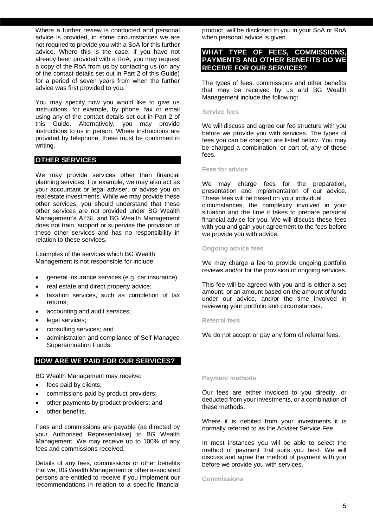Where a further review is conducted and personal advice is provided, in some circumstances we are not required to provide you with a SoA for this further advice. Where this is the case, if you have not already been provided with a RoA, you may request a copy of the RoA from us by contacting us (on any of the contact details set out in Part 2 of this Guide) for a period of seven years from when the further advice was first provided to you.

You may specify how you would like to give us instructions, for example, by phone, fax or email using any of the contact details set out in Part 2 of this Guide. Alternatively, you may provide instructions to us in person. Where instructions are provided by telephone, these must be confirmed in writing.

## **OTHER SERVICES**

We may provide services other than financial planning services. For example, we may also act as your accountant or legal adviser, or advise you on real estate investments. While we may provide these other services, you should understand that these other services are not provided under BG Wealth Management's AFSL and BG Wealth Management does not train, support or supervise the provision of these other services and has no responsibility in relation to these services.

Examples of the services which BG Wealth Management is not responsible for include:

- general insurance services (e.g. car insurance);
- real estate and direct property advice;
- taxation services, such as completion of tax returns;
- accounting and audit services;
- legal services;
- consulting services; and
- administration and compliance of Self-Managed Superannuation Funds.

## **HOW ARE WE PAID FOR OUR SERVICES?**

BG Wealth Management may receive:

- fees paid by clients;
- commissions paid by product providers;
- other payments by product providers; and
- other benefits.

Fees and commissions are payable (as directed by your Authorised Representative) to BG Wealth Management. We may receive up to 100% of any fees and commissions received.

Details of any fees, commissions or other benefits that we, BG Wealth Management or other associated persons are entitled to receive if you implement our recommendations in relation to a specific financial

product, will be disclosed to you in your SoA or RoA when personal advice is given.

## **WHAT TYPE OF FEES, COMMISSIONS, PAYMENTS AND OTHER BENEFITS DO WE RECEIVE FOR OUR SERVICES?**

The types of fees, commissions and other benefits that may be received by us and BG Wealth Management include the following:

#### **Service fees**

We will discuss and agree our fee structure with you before we provide you with services. The types of fees you can be charged are listed below. You may be charged a combination, or part of, any of these fees.

#### **Fees for advice**

We may charge fees for the preparation, presentation and implementation of our advice. These fees will be based on your individual circumstances, the complexity involved in your situation and the time it takes to prepare personal financial advice for you. We will discuss these fees with you and gain your agreement to the fees before we provide you with advice.

#### **Ongoing advice fees**

We may charge a fee to provide ongoing portfolio reviews and/or for the provision of ongoing services.

This fee will be agreed with you and is either a set amount, or an amount based on the amount of funds under our advice, and/or the time involved in reviewing your portfolio and circumstances.

#### **Referral fees**

We do not accept or pay any form of referral fees.

#### **Payment methods**

Our fees are either invoiced to you directly, or deducted from your investments, or a combination of these methods.

Where it is debited from your investments it is normally referred to as the Adviser Service Fee.

In most instances you will be able to select the method of payment that suits you best. We will discuss and agree the method of payment with you before we provide you with services.

#### **Commissions**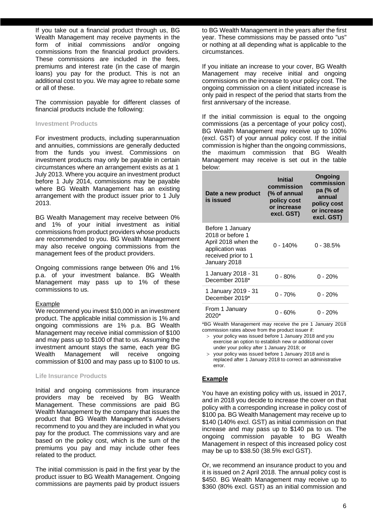If you take out a financial product through us, BG Wealth Management may receive payments in the form of initial commissions and/or ongoing commissions from the financial product providers. These commissions are included in the fees, premiums and interest rate (in the case of margin loans) you pay for the product. This is not an additional cost to you. We may agree to rebate some or all of these.

The commission payable for different classes of financial products include the following:

#### **Investment Products**

For investment products, including superannuation and annuities, commissions are generally deducted from the funds you invest. Commissions on investment products may only be payable in certain circumstances where an arrangement exists as at 1 July 2013. Where you acquire an investment product before 1 July 2014, commissions may be payable where BG Wealth Management has an existing arrangement with the product issuer prior to 1 July 2013.

BG Wealth Management may receive between 0% and 1% of your initial investment as initial commissions from product providers whose products are recommended to you. BG Wealth Management may also receive ongoing commissions from the management fees of the product providers.

Ongoing commissions range between 0% and 1% p.a. of your investment balance. BG Wealth Management may pass up to 1% of these commissions to us.

## Example

We recommend you invest \$10,000 in an investment product. The applicable initial commission is 1% and ongoing commissions are 1% p.a. BG Wealth Management may receive initial commission of \$100 and may pass up to \$100 of that to us. Assuming the investment amount stays the same, each year BG Wealth Management will receive ongoing commission of \$100 and may pass up to \$100 to us.

## **Life Insurance Products**

Initial and ongoing commissions from insurance providers may be received by BG Wealth Management. These commissions are paid BG Wealth Management by the company that issues the product that BG Wealth Management's Advisers recommend to you and they are included in what you pay for the product. The commissions vary and are based on the policy cost, which is the sum of the premiums you pay and may include other fees related to the product.

The initial commission is paid in the first year by the product issuer to BG Wealth Management. Ongoing commissions are payments paid by product issuers

to BG Wealth Management in the years after the first year. These commissions may be passed onto "us" or nothing at all depending what is applicable to the circumstances.

If you initiate an increase to your cover, BG Wealth Management may receive initial and ongoing commissions on the increase to your policy cost. The ongoing commission on a client initiated increase is only paid in respect of the period that starts from the first anniversary of the increase.

If the initial commission is equal to the ongoing commissions (as a percentage of your policy cost), BG Wealth Management may receive up to 100% (excl. GST) of your annual policy cost. If the initial commission is higher than the ongoing commissions, the maximum commission that BG Wealth Management may receive is set out in the table below:

| Date a new product<br>is issued                                                                                       | <b>Initial</b><br>commission<br>(% of annual<br>policy cost<br>or increase<br>excl. GST) | Ongoing<br>commission<br>pa (% of<br>annual<br>policy cost<br>or increase<br>excl. GST) |
|-----------------------------------------------------------------------------------------------------------------------|------------------------------------------------------------------------------------------|-----------------------------------------------------------------------------------------|
| Before 1 January<br>2018 or before 1<br>April 2018 when the<br>application was<br>received prior to 1<br>January 2018 | $0 - 140%$                                                                               | 0 - 38.5%                                                                               |
| 1 January 2018 - 31<br>December 2018*                                                                                 | 0 - 80%                                                                                  | $0 - 20%$                                                                               |
| 1 January 2019 - 31<br>December 2019*                                                                                 | 0 - 70%                                                                                  | $0 - 20%$                                                                               |
| From 1 January<br>$2020*$                                                                                             | 0 - 60%                                                                                  | $0 - 20%$                                                                               |

\*BG Wealth Management may receive the pre 1 January 2018 commission rates above from the product issuer if:

 your policy was issued before 1 January 2018 and you exercise an option to establish new or additional cover under your policy after 1 January 2018; or

 your policy was issued before 1 January 2018 and is replaced after 1 January 2018 to correct an administrative error.

## **Example**

You have an existing policy with us, issued in 2017, and in 2018 you decide to increase the cover on that policy with a corresponding increase in policy cost of \$100 pa. BG Wealth Management may receive up to \$140 (140% excl. GST) as initial commission on that increase and may pass up to \$140 pa to us. The ongoing commission payable to BG Wealth Management in respect of this increased policy cost may be up to \$38.50 (38.5% excl GST).

Or, we recommend an insurance product to you and it is issued on 2 April 2018. The annual policy cost is \$450. BG Wealth Management may receive up to \$360 (80% excl. GST) as an initial commission and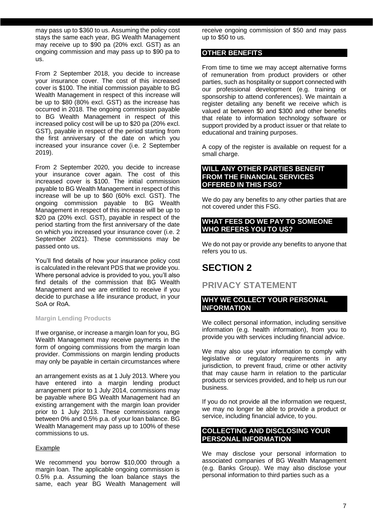may pass up to \$360 to us. Assuming the policy cost stays the same each year, BG Wealth Management may receive up to \$90 pa (20% excl. GST) as an ongoing commission and may pass up to \$90 pa to us.

From 2 September 2018, you decide to increase your insurance cover. The cost of this increased cover is \$100. The initial commission payable to BG Wealth Management in respect of this increase will be up to \$80 (80% excl. GST) as the increase has occurred in 2018. The ongoing commission payable to BG Wealth Management in respect of this increased policy cost will be up to \$20 pa (20% excl. GST), payable in respect of the period starting from the first anniversary of the date on which you increased your insurance cover (i.e. 2 September 2019).

From 2 September 2020, you decide to increase your insurance cover again. The cost of this increased cover is \$100. The initial commission payable to BG Wealth Management in respect of this increase will be up to \$60 (60% excl. GST). The ongoing commission payable to BG Wealth Management in respect of this increase will be up to \$20 pa (20% excl. GST), payable in respect of the period starting from the first anniversary of the date on which you increased your insurance cover (i.e. 2 September 2021). These commissions may be passed onto us.

You'll find details of how your insurance policy cost is calculated in the relevant PDS that we provide you. Where personal advice is provided to you, you'll also find details of the commission that BG Wealth Management and we are entitled to receive if you decide to purchase a life insurance product, in your SoA or RoA.

## **Margin Lending Products**

If we organise, or increase a margin loan for you, BG Wealth Management may receive payments in the form of ongoing commissions from the margin loan provider. Commissions on margin lending products may only be payable in certain circumstances where

an arrangement exists as at 1 July 2013. Where you have entered into a margin lending product arrangement prior to 1 July 2014, commissions may be payable where BG Wealth Management had an existing arrangement with the margin loan provider prior to 1 July 2013. These commissions range between 0% and 0.5% p.a. of your loan balance. BG Wealth Management may pass up to 100% of these commissions to us.

## Example

We recommend you borrow \$10,000 through a margin loan. The applicable ongoing commission is 0.5% p.a. Assuming the loan balance stays the same, each year BG Wealth Management will receive ongoing commission of \$50 and may pass up to \$50 to us.

## **OTHER BENEFITS**

From time to time we may accept alternative forms of remuneration from product providers or other parties, such as hospitality or support connected with our professional development (e.g. training or sponsorship to attend conferences). We maintain a register detailing any benefit we receive which is valued at between \$0 and \$300 and other benefits that relate to information technology software or support provided by a product issuer or that relate to educational and training purposes.

A copy of the register is available on request for a small charge.

## **WILL ANY OTHER PARTIES BENEFIT FROM THE FINANCIAL SERVICES OFFERED IN THIS FSG?**

We do pay any benefits to any other parties that are not covered under this FSG.

## **WHAT FEES DO WE PAY TO SOMEONE WHO REFERS YOU TO US?**

We do not pay or provide any benefits to anyone that refers you to us.

## **SECTION 2**

## **PRIVACY STATEMENT**

## **WHY WE COLLECT YOUR PERSONAL INFORMATION**

We collect personal information, including sensitive information (e.g. health information), from you to provide you with services including financial advice.

We may also use your information to comply with legislative or regulatory requirements in any jurisdiction, to prevent fraud, crime or other activity that may cause harm in relation to the particular products or services provided, and to help us run our business.

If you do not provide all the information we request, we may no longer be able to provide a product or service, including financial advice, to you.

## **COLLECTING AND DISCLOSING YOUR PERSONAL INFORMATION**

We may disclose your personal information to associated companies of BG Wealth Management (e.g. Banks Group). We may also disclose your personal information to third parties such as a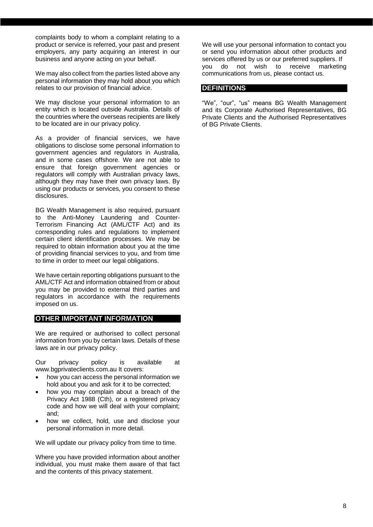complaints body to whom a complaint relating to a product or service is referred, your past and present employers, any party acquiring an interest in our business and anyone acting on your behalf.

We may also collect from the parties listed above any personal information they may hold about you which relates to our provision of financial advice.

We may disclose your personal information to an entity which is located outside Australia. Details of the countries where the overseas recipients are likely to be located are in our privacy policy.

As a provider of financial services, we have obligations to disclose some personal information to government agencies and regulators in Australia, and in some cases offshore. We are not able to ensure that foreign government agencies or regulators will comply with Australian privacy laws, although they may have their own privacy laws. By using our products or services, you consent to these disclosures.

BG Wealth Management is also required, pursuant to the Anti-Money Laundering and Counter-Terrorism Financing Act (AML/CTF Act) and its corresponding rules and regulations to implement certain client identification processes. We may be required to obtain information about you at the time of providing financial services to you, and from time to time in order to meet our legal obligations.

We have certain reporting obligations pursuant to the AML/CTF Act and information obtained from or about you may be provided to external third parties and regulators in accordance with the requirements imposed on us.

## **OTHER IMPORTANT INFORMATION**

We are required or authorised to collect personal information from you by certain laws. Details of these laws are in our privacy policy.

Our privacy policy is available at www.bgprivateclients.com.au It covers:

- how you can access the personal information we hold about you and ask for it to be corrected;
- how you may complain about a breach of the Privacy Act 1988 (Cth), or a registered privacy code and how we will deal with your complaint; and;
- how we collect, hold, use and disclose your personal information in more detail.

We will update our privacy policy from time to time.

Where you have provided information about another individual, you must make them aware of that fact and the contents of this privacy statement.

We will use your personal information to contact you or send you information about other products and services offered by us or our preferred suppliers. If you do not wish to receive marketing communications from us, please contact us.

## **DEFINITIONS**

"We", "our", "us" means BG Wealth Management and its Corporate Authorised Representatives, BG Private Clients and the Authorised Representatives of BG Private Clients.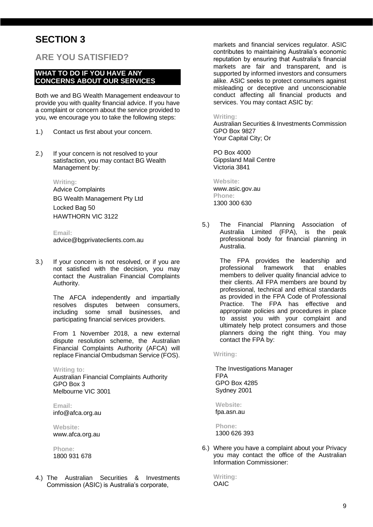## **SECTION 3**

## **ARE YOU SATISFIED?**

## **WHAT TO DO IF YOU HAVE ANY CONCERNS ABOUT OUR SERVICES**

Both we and BG Wealth Management endeavour to provide you with quality financial advice. If you have a complaint or concern about the service provided to you, we encourage you to take the following steps:

- 1.) Contact us first about your concern.
- 2.) If your concern is not resolved to your satisfaction, you may contact BG Wealth Management by:

**Writing:** Advice Complaints BG Wealth Management Pty Ltd Locked Bag 50 HAWTHORN VIC 3122

**Email:** advice@bgprivateclients.com.au

3.) If your concern is not resolved, or if you are not satisfied with the decision, you may contact the Australian Financial Complaints Authority.

> The AFCA independently and impartially resolves disputes between consumers, including some small businesses, and participating financial services providers.

> From 1 November 2018, a new external dispute resolution scheme, the Australian Financial Complaints Authority (AFCA) will replace Financial Ombudsman Service (FOS).

**Writing to:** Australian Financial Complaints Authority GPO Box 3 Melbourne VIC 3001

**Email:** info@afca.org.au

**Website:** www.afca.org.au

**Phone:** 1800 931 678

4.) The Australian Securities & Investments Commission (ASIC) is Australia's corporate,

markets and financial services regulator. ASIC contributes to maintaining Australia's economic reputation by ensuring that Australia's financial markets are fair and transparent, and is supported by informed investors and consumers alike. ASIC seeks to protect consumers against misleading or deceptive and unconscionable conduct affecting all financial products and services. You may contact ASIC by:

## **Writing:**

Australian Securities & Investments Commission GPO Box 9827 Your Capital City; Or

PO Box 4000 Gippsland Mail Centre Victoria 3841

**Website:** www.asic.gov.au **Phone:** 1300 300 630

5.) The Financial Planning Association of Australia Limited (FPA), is the peak professional body for financial planning in Australia.

> The FPA provides the leadership and professional framework that enables members to deliver quality financial advice to their clients. All FPA members are bound by professional, technical and ethical standards as provided in the FPA Code of Professional Practice. The FPA has effective and appropriate policies and procedures in place to assist you with your complaint and ultimately help protect consumers and those planners doing the right thing. You may contact the FPA by:

## **Writing:**

The Investigations Manager FPA GPO Box 4285 Sydney 2001

**Website:** fpa.asn.au

**Phone:** 1300 626 393

6.) Where you have a complaint about your Privacy you may contact the office of the Australian Information Commissioner:

**Writing:** OAIC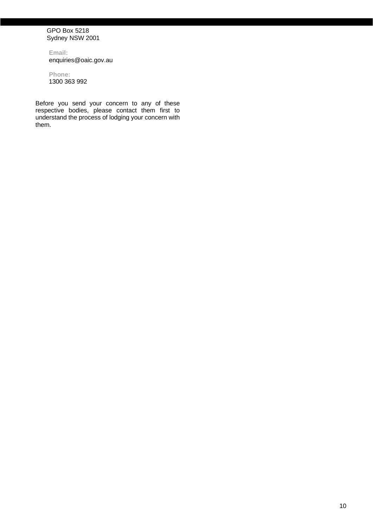## GPO Box 5218 Sydney NSW 2001

**Email:** [enquiries@oaic.gov.au](mailto:enquiries@oaic.gov.au)

**Phone:** 1300 363 992

Before you send your concern to any of these respective bodies, please contact them first to understand the process of lodging your concern with them.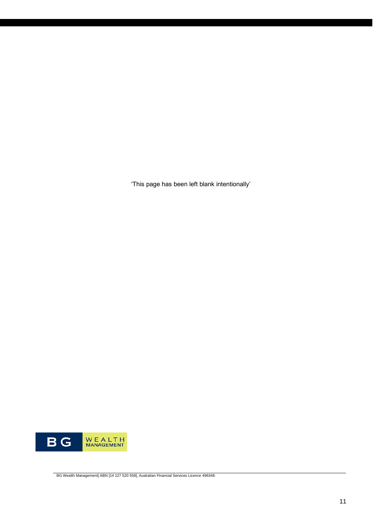'This page has been left blank intentionally'



BG Wealth Management] ABN [14 127 520 558], Australian Financial Services Licence 496348.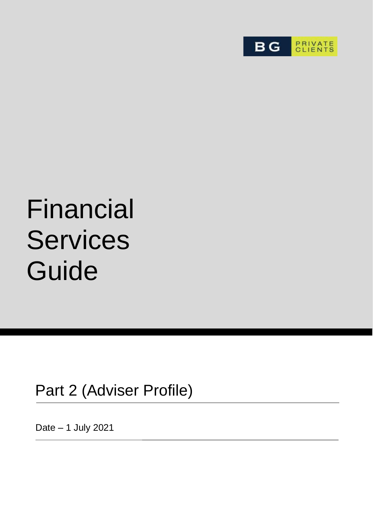

# Financial Services Guide

Part 2 (Adviser Profile)

Date – 1 July 2021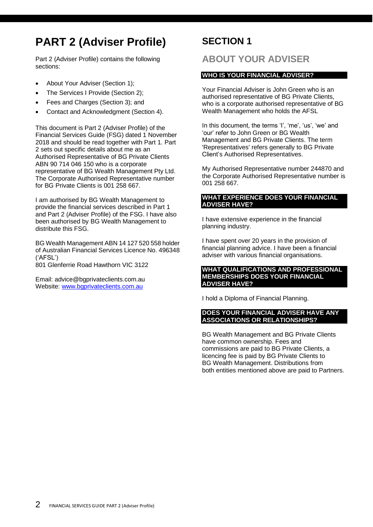# **PART 2 (Adviser Profile)**

Part 2 (Adviser Profile) contains the following sections:

- About Your Adviser (Section 1);
- The Services I Provide (Section 2);
- Fees and Charges (Section 3); and
- Contact and Acknowledgment (Section 4).

This document is Part 2 (Adviser Profile) of the Financial Services Guide (FSG) dated 1 November 2018 and should be read together with Part 1. Part 2 sets out specific details about me as an Authorised Representative of BG Private Clients ABN 90 714 046 150 who is a corporate representative of BG Wealth Management Pty Ltd. The Corporate Authorised Representative number for BG Private Clients is 001 258 667.

I am authorised by BG Wealth Management to provide the financial services described in Part 1 and Part 2 (Adviser Profile) of the FSG. I have also been authorised by BG Wealth Management to distribute this FSG.

BG Wealth Management ABN 14 127 520 558 holder of Australian Financial Services Licence No. 496348 ('AFSL')

801 Glenferrie Road Hawthorn VIC 3122

Email: advice@bgprivateclients.com.au Website: [www.bgprivateclients.com.au](http://www.bgprivateclients.com.au/)

## **SECTION 1**

**ABOUT YOUR ADVISER**

## **WHO IS YOUR FINANCIAL ADVISER?**

Your Financial Adviser is John Green who is an authorised representative of BG Private Clients, who is a corporate authorised representative of BG Wealth Management who holds the AFSL

In this document, the terms 'I', 'me', 'us', 'we' and 'our' refer to John Green or BG Wealth Management and BG Private Clients. The term 'Representatives' refers generally to BG Private Client's Authorised Representatives.

My Authorised Representative number 244870 and the Corporate Authorised Representative number is 001 258 667.

## **WHAT EXPERIENCE DOES YOUR FINANCIAL ADVISER HAVE?**

I have extensive experience in the financial planning industry.

I have spent over 20 years in the provision of financial planning advice. I have been a financial adviser with various financial organisations.

#### **WHAT QUALIFICATIONS AND PROFESSIONAL MEMBERSHIPS DOES YOUR FINANCIAL ADVISER HAVE?**

I hold a Diploma of Financial Planning.

## **DOES YOUR FINANCIAL ADVISER HAVE ANY ASSOCIATIONS OR RELATIONSHIPS?**

BG Wealth Management and BG Private Clients have common ownership. Fees and commissions are paid to BG Private Clients, a licencing fee is paid by BG Private Clients to BG Wealth Management. Distributions from both entities mentioned above are paid to Partners.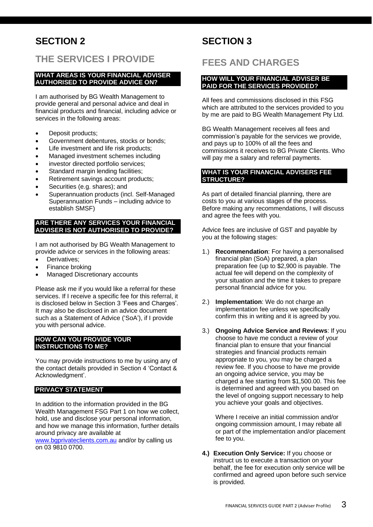## **SECTION 2**

## **THE SERVICES I PROVIDE**

## **WHAT AREAS IS YOUR FINANCIAL ADVISER AUTHORISED TO PROVIDE ADVICE ON?**

I am authorised by BG Wealth Management to provide general and personal advice and deal in financial products and financial, including advice or services in the following areas:

- Deposit products;
- Government debentures, stocks or bonds;
- Life investment and life risk products;
- Managed investment schemes including
- investor directed portfolio services;
- Standard margin lending facilities;
- Retirement savings account products;
- Securities (e.g. shares); and
- Superannuation products (incl. Self-Managed Superannuation Funds – including advice to establish SMSF)

## **ARE THERE ANY SERVICES YOUR FINANCIAL ADVISER IS NOT AUTHORISED TO PROVIDE?**

I am not authorised by BG Wealth Management to provide advice or services in the following areas:

- Derivatives:
- Finance broking
- Managed Discretionary accounts

Please ask me if you would like a referral for these services. If I receive a specific fee for this referral, it is disclosed below in Section 3 'Fees and Charges'. It may also be disclosed in an advice document such as a Statement of Advice ('SoA'), if I provide you with personal advice.

## **HOW CAN YOU PROVIDE YOUR INSTRUCTIONS TO ME?**

You may provide instructions to me by using any of the contact details provided in Section 4 'Contact & Acknowledgment'.

## **PRIVACY STATEMENT**

In addition to the information provided in the BG Wealth Management FSG Part 1 on how we collect, hold, use and disclose your personal information, and how we manage this information, further details around privacy are available at

[www.bgprivateclients.com.au](http://www.bgprivateclients.com.au/) and/or by calling us on 03 9810 0700.

## **SECTION 3**

## **FEES AND CHARGES**

## **HOW WILL YOUR FINANCIAL ADVISER BE PAID FOR THE SERVICES PROVIDED?**

All fees and commissions disclosed in this FSG which are attributed to the services provided to you by me are paid to BG Wealth Management Pty Ltd.

BG Wealth Management receives all fees and commission's payable for the services we provide, and pays up to 100% of all the fees and commissions it receives to BG Private Clients. Who will pay me a salary and referral payments.

## **WHAT IS YOUR FINANCIAL ADVISERS FEE STRUCTURE?**

As part of detailed financial planning, there are costs to you at various stages of the process. Before making any recommendations, I will discuss and agree the fees with you.

Advice fees are inclusive of GST and payable by you at the following stages:

- 1.) **Recommendation**: For having a personalised financial plan (SoA) prepared, a plan preparation fee (up to \$2,900 is payable. The actual fee will depend on the complexity of your situation and the time it takes to prepare personal financial advice for you.
- 2.) **Implementation**: We do not charge an implementation fee unless we specifically confirm this in writing and it is agreed by you.
- 3.) **Ongoing Advice Service and Reviews**: If you choose to have me conduct a review of your financial plan to ensure that your financial strategies and financial products remain appropriate to you, you may be charged a review fee. If you choose to have me provide an ongoing advice service, you may be charged a fee starting from \$1,500.00. This fee is determined and agreed with you based on the level of ongoing support necessary to help you achieve your goals and objectives.

Where I receive an initial commission and/or ongoing commission amount, I may rebate all or part of the implementation and/or placement fee to you.

**4.) Execution Only Service:** If you choose or instruct us to execute a transaction on your behalf, the fee for execution only service will be confirmed and agreed upon before such service is provided.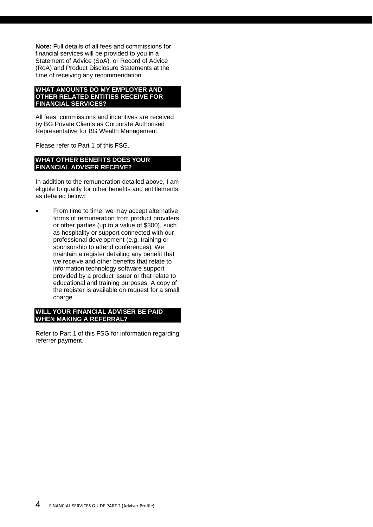**Note:** Full details of all fees and commissions for financial services will be provided to you in a Statement of Advice (SoA), or Record of Advice (RoA) and Product Disclosure Statements at the time of receiving any recommendation.

#### **WHAT AMOUNTS DO MY EMPLOYER AND OTHER RELATED ENTITIES RECEIVE FOR FINANCIAL SERVICES?**

All fees, commissions and incentives are received by BG Private Clients as Corporate Authorised Representative for BG Wealth Management.

Please refer to Part 1 of this FSG.

## **WHAT OTHER BENEFITS DOES YOUR FINANCIAL ADVISER RECEIVE?**

In addition to the remuneration detailed above, I am eligible to qualify for other benefits and entitlements as detailed below:

• From time to time, we may accept alternative forms of remuneration from product providers or other parties (up to a value of \$300), such as hospitality or support connected with our professional development (e.g. training or sponsorship to attend conferences). We maintain a register detailing any benefit that we receive and other benefits that relate to information technology software support provided by a product issuer or that relate to educational and training purposes. A copy of the register is available on request for a small charge.

## **WILL YOUR FINANCIAL ADVISER BE PAID WHEN MAKING A REFERRAL?**

Refer to Part 1 of this FSG for information regarding referrer payment.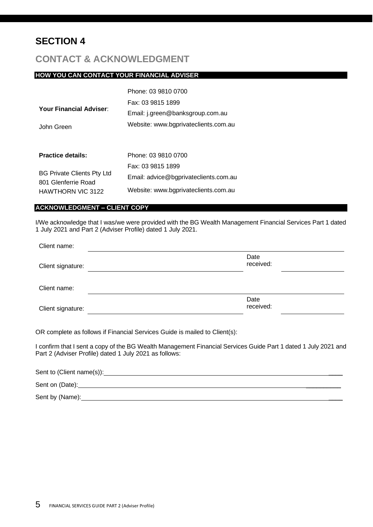## **SECTION 4**

## **CONTACT & ACKNOWLEDGMENT**

## **HOW YOU CAN CONTACT YOUR FINANCIAL ADVISER**

|                                   | Phone: 03 9810 0700                   |
|-----------------------------------|---------------------------------------|
| Your Financial Adviser:           | Fax: 03 9815 1899                     |
|                                   | Email: j.green@banksgroup.com.au      |
| John Green                        | Website: www.bgprivateclients.com.au  |
|                                   |                                       |
| <b>Practice details:</b>          | Phone: 03 9810 0700                   |
|                                   |                                       |
| <b>BG Private Clients Pty Ltd</b> | Fax: 03 9815 1899                     |
| 801 Glenferrie Road               | Email: advice@bgprivateclients.com.au |
| <b>HAWTHORN VIC 3122</b>          | Website: www.bgprivateclients.com.au  |

## **ACKNOWLEDGMENT – CLIENT COPY**

I/We acknowledge that I was/we were provided with the BG Wealth Management Financial Services Part 1 dated 1 July 2021 and Part 2 (Adviser Profile) dated 1 July 2021.

| Client name:      |                   |
|-------------------|-------------------|
| Client signature: | Date<br>received: |
| Client name:      |                   |
| Client signature: | Date<br>received: |

OR complete as follows if Financial Services Guide is mailed to Client(s):

I confirm that I sent a copy of the BG Wealth Management Financial Services Guide Part 1 dated 1 July 2021 and Part 2 (Adviser Profile) dated 1 July 2021 as follows:

| Sent to (Client name(s)): |  |  |
|---------------------------|--|--|
| Sent on (Date):           |  |  |
| Sent by (Name):           |  |  |